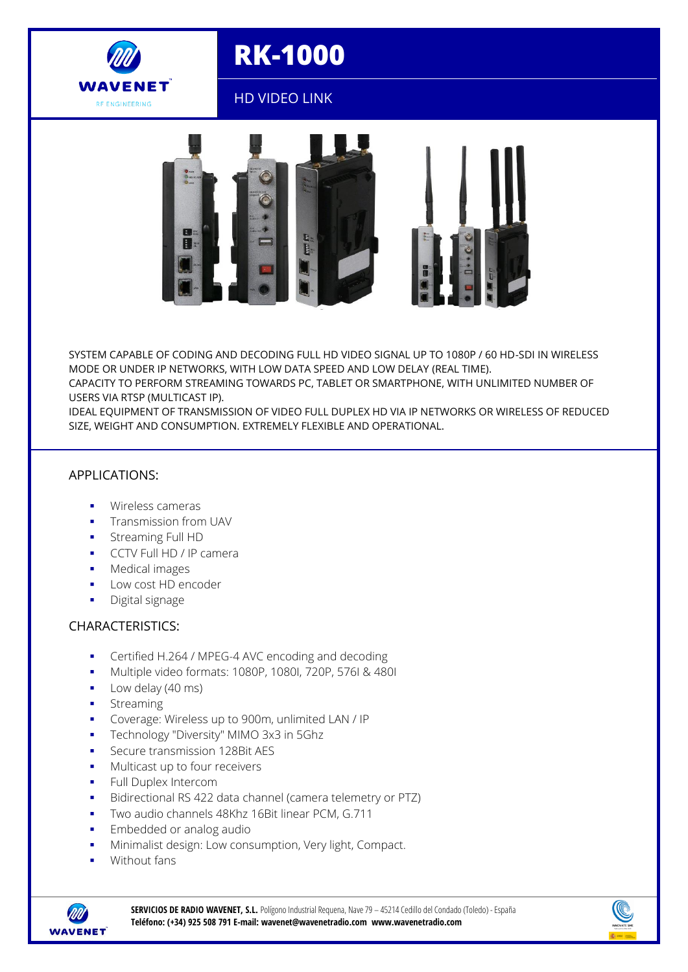

# **RK-1000**

## HD VIDEO LINK



SYSTEM CAPABLE OF CODING AND DECODING FULL HD VIDEO SIGNAL UP TO 1080P / 60 HD-SDI IN WIRELESS MODE OR UNDER IP NETWORKS, WITH LOW DATA SPEED AND LOW DELAY (REAL TIME). CAPACITY TO PERFORM STREAMING TOWARDS PC, TABLET OR SMARTPHONE, WITH UNLIMITED NUMBER OF

USERS VIA RTSP (MULTICAST IP). IDEAL EQUIPMENT OF TRANSMISSION OF VIDEO FULL DUPLEX HD VIA IP NETWORKS OR WIRELESS OF REDUCED

SIZE, WEIGHT AND CONSUMPTION. EXTREMELY FLEXIBLE AND OPERATIONAL.

#### APPLICATIONS:

- Wireless cameras
- Transmission from UAV
- Streaming Full HD
- **CCTV Full HD / IP camera**
- **Medical images**
- **Low cost HD encoder**
- **Digital signage**

#### CHARACTERISTICS:

- **Certified H.264 / MPEG-4 AVC encoding and decoding**
- Multiple video formats: 1080P, 1080I, 720P, 576I & 480I
- **Low delay (40 ms)**
- **Streaming**
- Coverage: Wireless up to 900m, unlimited LAN / IP
- **Technology "Diversity" MIMO 3x3 in 5Ghz**
- **Secure transmission 128Bit AES**
- **Multicast up to four receivers**
- **Full Duplex Intercom**
- Bidirectional RS 422 data channel (camera telemetry or PTZ)
- Two audio channels 48Khz 16Bit linear PCM, G.711
- Embedded or analog audio
- **Minimalist design: Low consumption, Very light, Compact.**
- Without fans



**SERVICIOS DE RADIO WAVENET, S.L.** Polígono Industrial Requena, Nave 79 – 45214 Cedillo del Condado (Toledo) -España **Teléfono: (+34) 925 508 791 E-mail: wavenet@wavenetradio.com www.wavenetradio.com**